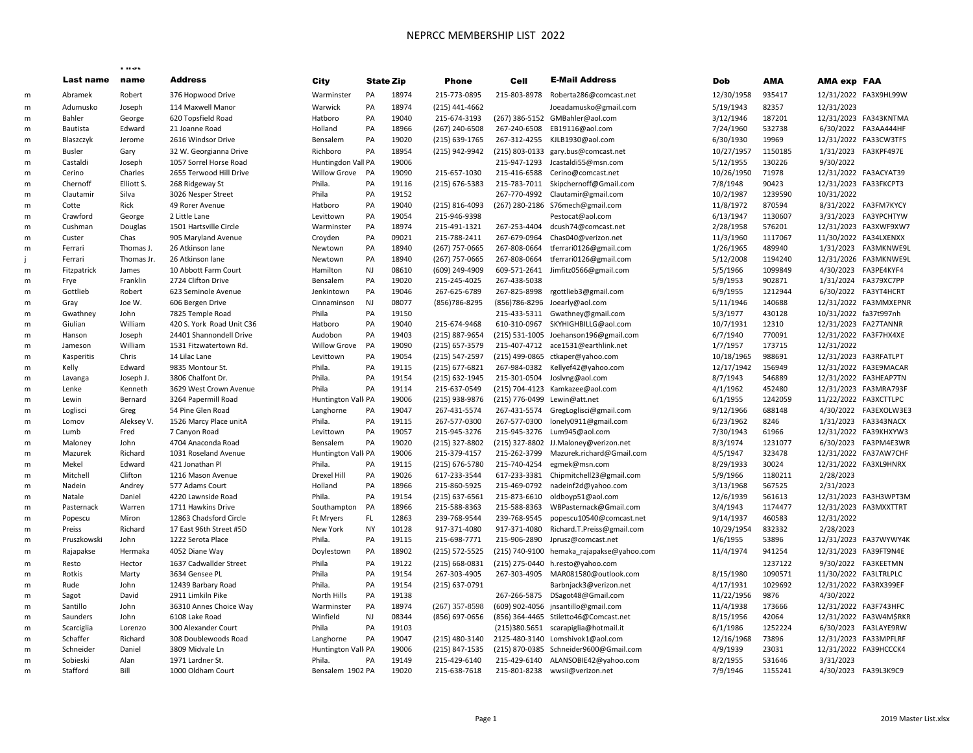## NEPRCC MEMBERSHIP LIST 2022

|   |               | riist      |                           |                     |           |                  |                  |                |                                           |            |         |                       |                         |
|---|---------------|------------|---------------------------|---------------------|-----------|------------------|------------------|----------------|-------------------------------------------|------------|---------|-----------------------|-------------------------|
|   | Last name     | name       | <b>Address</b>            | City                |           | <b>State Zip</b> | <b>Phone</b>     | Cell           | <b>E-Mail Address</b>                     | Dob        | AMA     | <b>AMA exp FAA</b>    |                         |
| m | Abramek       | Robert     | 376 Hopwood Drive         | Warminster          | PA        | 18974            | 215-773-0895     | 215-803-8978   | Roberta286@comcast.net                    | 12/30/1958 | 935417  |                       | 12/31/2022 FA3X9HL99W   |
| m | Adumusko      | Joseph     | 114 Maxwell Manor         | Warwick             | PA        | 18974            | (215) 441-4662   |                | Joeadamusko@gmail.com                     | 5/19/1943  | 82357   | 12/31/2023            |                         |
| m | Bahler        | George     | 620 Topsfield Road        | Hatboro             | PA        | 19040            | 215-674-3193     | (267) 386-5152 | GMBahler@aol.com                          | 3/12/1946  | 187201  |                       | 12/31/2023 FA343KNTMA   |
| m | Bautista      | Edward     | 21 Joanne Road            | Holland             | PA        | 18966            | (267) 240-6508   | 267-240-6508   | EB19116@aol.com                           | 7/24/1960  | 532738  |                       | 6/30/2022 FA3AA444HF    |
| m | Blaszczyk     | Jerome     | 2616 Windsor Drive        | Bensalem            | PA        | 19020            | (215) 639-1765   | 267-312-4255   | KJLB1930@aol.com                          | 6/30/1930  | 19969   |                       | 12/31/2022 FA33CW3TFS   |
| m | <b>Busler</b> | Gary       | 32 W. Georgianna Drive    | Richboro            | PA        | 18954            | (215) 942-9942   | (215) 803-0133 | gary.bus@comcast.net                      | 10/27/1957 | 1150185 |                       | 1/31/2023 FA3KPF497E    |
| m | Castaldi      | Joseph     | 1057 Sorrel Horse Road    | Huntingdon Vall PA  |           | 19006            |                  | 215-947-1293   | Jcastaldi55@msn.com                       | 5/12/1955  | 130226  | 9/30/2022             |                         |
| m | Cerino        | Charles    | 2655 Terwood Hill Drive   | <b>Willow Grove</b> | PA        | 19090            | 215-657-1030     | 215-416-6588   | Cerino@comcast.net                        | 10/26/1950 | 71978   |                       | 12/31/2022 FA3ACYAT39   |
| m | Chernoff      | Elliott S. | 268 Ridgeway St           | Phila.              | PA        | 19116            | (215) 676-5383   | 215-783-7011   | Skipchernoff@Gmail.com                    | 7/8/1948   | 90423   |                       | 12/31/2023 FA33FKCPT3   |
| m | Clautamir     | Silva      | 3026 Nesper Street        | Phila               | PA        | 19152            |                  | 267-770-4992   | Clautamir@gmail.com                       | 10/2/1987  | 1239590 | 10/31/2022            |                         |
| m | Cotte         | Rick       | 49 Rorer Avenue           | Hatboro             | PA        | 19040            | (215) 816-4093   |                | (267) 280-2186 S76mech@gmail.com          | 11/8/1972  | 870594  |                       | 8/31/2022 FA3FM7KYCY    |
| m | Crawford      | George     | 2 Little Lane             | Levittown           | PA        | 19054            | 215-946-9398     |                | Pestocat@aol.com                          | 6/13/1947  | 1130607 |                       | 3/31/2023 FA3YPCHTYW    |
| m | Cushman       | Douglas    | 1501 Hartsville Circle    | Warminster          | PA        | 18974            | 215-491-1321     | 267-253-4404   | dcush74@comcast.net                       | 2/28/1958  | 576201  |                       | 12/31/2023 FA3XWF9XW7   |
| m | Custer        | Chas       | 905 Maryland Avenue       | Croyden             | PA        | 09021            | 215-788-2411     | 267-679-0964   | Chas040@verizon.net                       | 11/3/1960  | 1117067 |                       | 11/30/2022 FA34LXENXX   |
| m | Ferrari       | Thomas J.  | 26 Atkinson lane          | Newtown             | PA        | 18940            | (267) 757-0665   | 267-808-0664   | tferrari0126@gmail.com                    | 1/26/1965  | 489940  |                       | 1/31/2023    FA3MKNWE9L |
|   | Ferrari       | Thomas Jr. | 26 Atkinson lane          | Newtown             | PA        | 18940            | (267) 757-0665   | 267-808-0664   | tferrari0126@gmail.com                    | 5/12/2008  | 1194240 |                       | 12/31/2026 FA3MKNWE9L   |
| m | Fitzpatrick   | James      | 10 Abbott Farm Court      | Hamilton            | NJ        | 08610            | (609) 249-4909   | 609-571-2641   | Jimfitz0566@gmail.com                     | 5/5/1966   | 1099849 |                       | 4/30/2023 FA3PE4KYF4    |
|   |               | Franklin   | 2724 Clifton Drive        | Bensalem            | PA        | 19020            | 215-245-4025     | 267-438-5038   |                                           | 5/9/1953   | 902871  |                       | 1/31/2024 FA379XC7PP    |
| m | Frye          |            |                           |                     | PA        |                  |                  |                |                                           |            | 1212944 |                       |                         |
| m | Gottlieb      | Robert     | 623 Seminole Avenue       | Jenkintown          |           | 19046            | 267-625-6789     | 267-825-8998   | rgottlieb3@gmail.com                      | 6/9/1955   |         |                       | 6/30/2022 FA3YT4HCRT    |
| m | Gray          | Joe W.     | 606 Bergen Drive          | Cinnaminson         | <b>NJ</b> | 08077            | (856) 786-8295   | (856) 786-8296 | Joearly@aol.com                           | 5/11/1946  | 140688  |                       | 12/31/2022 FA3MMXEPNR   |
| m | Gwathney      | John       | 7825 Temple Road          | Phila               | PA        | 19150            |                  | 215-433-5311   | Gwathney@gmail.com                        | 5/3/1977   | 430128  | 10/31/2022 fa37t997nh |                         |
| m | Giulian       | William    | 420 S. York Road Unit C36 | Hatboro             | PA        | 19040            | 215-674-9468     | 610-310-0967   | SKYHIGHBILLG@aol.com                      | 10/7/1931  | 12310   | 12/31/2023 FA27TANNR  |                         |
| m | Hanson        | Joseph     | 24401 Shannondell Drive   | Audobon             | PA        | 19403            | (215) 887-9654   | (215) 531-1005 | Joehanson196@gmail.com                    | 6/7/1940   | 770091  |                       | 12/31/2022 FA3F7HX4XE   |
| m | Jameson       | William    | 1531 Fitzwatertown Rd.    | <b>Willow Grove</b> | PA        | 19090            | (215) 657-3579   | 215-407-4712   | ace1531@earthlink.net                     | 1/7/1957   | 173715  | 12/31/2022            |                         |
| m | Kasperitis    | Chris      | 14 Lilac Lane             | Levittown           | PA        | 19054            | (215) 547-2597   | (215) 499-0865 | ctkaper@yahoo.com                         | 10/18/1965 | 988691  |                       | 12/31/2023 FA3RFATLPT   |
| m | Kelly         | Edward     | 9835 Montour St.          | Phila.              | PA        | 19115            | $(215)$ 677-6821 | 267-984-0382   | Kellyef42@yahoo.com                       | 12/17/1942 | 156949  |                       | 12/31/2022 FA3E9MACAR   |
| m | Lavanga       | Joseph J.  | 3806 Chalfont Dr.         | Phila.              | PA        | 19154            | (215) 632-1945   | 215-301-0504   | Joslvng@aol.com                           | 8/7/1943   | 546889  |                       | 12/31/2022 FA3HEAP7TN   |
| m | Lenke         | Kenneth    | 3629 West Crown Avenue    | Phila               | PA        | 19114            | 215-637-0549     |                | (215) 704-4123 Kamkazee@aol.com           | 4/1/1962   | 452480  |                       | 12/31/2023 FA3MRA793F   |
| m | Lewin         | Bernard    | 3264 Papermill Road       | Huntington Vall PA  |           | 19006            | (215) 938-9876   | (215) 776-0499 | Lewin@att.net                             | 6/1/1955   | 1242059 |                       | 11/22/2022 FA3XCTTLPC   |
| m | Loglisci      | Greg       | 54 Pine Glen Road         | Langhorne           | PA        | 19047            | 267-431-5574     | 267-431-5574   | GregLoglisci@gmail.com                    | 9/12/1966  | 688148  |                       | 4/30/2022 FA3EXOLW3E3   |
| m | Lomov         | Aleksey V. | 1526 Marcy Place unitA    | Phila.              | PA        | 19115            | 267-577-0300     | 267-577-0300   | lonely0911@gmail.com                      | 6/23/1962  | 8246    |                       | 1/31/2023 FA3343NACX    |
| m | Lumb          | Fred       | 7 Canyon Road             | Levittown           | PA        | 19057            | 215-945-3276     | 215-945-3276   | Lum945@aol.com                            | 7/30/1943  | 61966   |                       | 12/31/2022 FA39KHXYW3   |
| m | Maloney       | John       | 4704 Anaconda Road        | Bensalem            | PA        | 19020            | (215) 327-8802   | (215) 327-8802 | JJ.Maloney@verizon.net                    | 8/3/1974   | 1231077 |                       | 6/30/2023 FA3PM4E3WR    |
| m | Mazurek       | Richard    | 1031 Roseland Avenue      | Huntington Vall PA  |           | 19006            | 215-379-4157     | 215-262-3799   | Mazurek.richard@Gmail.com                 | 4/5/1947   | 323478  |                       | 12/31/2022 FA37AW7CHF   |
| m | Mekel         | Edward     | 421 Jonathan Pl           | Phila.              | PA        | 19115            | (215) 676-5780   | 215-740-4254   | egmek@msn.com                             | 8/29/1933  | 30024   |                       | 12/31/2022 FA3XL9HNRX   |
| m | Mitchell      | Clifton    | 1216 Mason Avenue         | <b>Drexel Hill</b>  | PA        | 19026            | 617-233-3544     | 617-233-3381   | Chipmitchell23@gmail.com                  | 5/9/1966   | 1180211 | 2/28/2023             |                         |
| m | Nadein        | Andrey     | 577 Adams Court           | Holland             | PA        | 18966            | 215-860-5925     | 215-469-0792   | nadeinf2d@yahoo.com                       | 3/13/1968  | 567525  | 2/31/2023             |                         |
| m | Natale        | Daniel     | 4220 Lawnside Road        | Phila.              | PA        | 19154            | (215) 637-6561   | 215-873-6610   | oldboyp51@aol.com                         | 12/6/1939  | 561613  |                       | 12/31/2023 FA3H3WPT3M   |
| m | Pasternack    | Warren     | 1711 Hawkins Drive        | Southampton         | PA        | 18966            | 215-588-8363     | 215-588-8363   | WBPasternack@Gmail.com                    | 3/4/1943   | 1174477 |                       | 12/31/2023 FA3MXXTTRT   |
| m | Popescu       | Miron      | 12863 Chadsford Circle    | <b>Ft Mryers</b>    | FL.       | 12863            | 239-768-9544     | 239-768-9545   | popescu10540@comcast.net                  | 9/14/1937  | 460583  | 12/31/2022            |                         |
| m | Preiss        | Richard    | 17 East 96th Street #5D   | New York            | <b>NY</b> | 10128            | 917-371-4080     | 917-371-4080   | Richard.T.Preiss@gmail.com                | 10/29/1954 | 832332  | 2/28/2023             |                         |
| m | Pruszkowski   | John       | 1222 Serota Place         | Phila.              | PA        | 19115            | 215-698-7771     | 215-906-2890   | Jprusz@comcast.net                        | 1/6/1955   | 53896   |                       | 12/31/2023 FA37WYWY4K   |
| m | Rajapakse     | Hermaka    | 4052 Diane Way            | Doylestown          | PA        | 18902            | (215) 572-5525   |                | (215) 740-9100 hemaka_rajapakse@yahoo.com | 11/4/1974  | 941254  |                       | 12/31/2023 FA39FT9N4E   |
| m | Resto         | Hector     | 1637 Cadwallder Street    | Phila               | PA        | 19122            | (215) 668-0831   | (215) 275-0440 | h.resto@yahoo.com                         |            | 1237122 |                       | 9/30/2022 FA3KEETMN     |
| m | Rotkis        | Marty      | 3634 Gensee PL            | Phila               | PA        | 19154            | 267-303-4905     | 267-303-4905   | MAR081580@outlook.com                     | 8/15/1980  | 1090571 |                       | 11/30/2022 FA3LTRLPLC   |
| m | Rude          | John       | 12439 Barbary Road        | Phila.              | PA        | 19154            | (215) 637-0791   |                | Barbnjack3@verizon.net                    | 4/17/1931  | 1029692 |                       | 12/31/2022 FA3RX399EF   |
| m | Sagot         | David      | 2911 Limkiln Pike         | North Hills         | PA        | 19138            |                  | 267-266-5875   | DSagot48@Gmail.com                        | 11/22/1956 | 9876    | 4/30/2022             |                         |
| m | Santillo      | John       | 36310 Annes Choice Way    | Warminster          | PA        | 18974            | $(267)$ 357-8598 | (609) 902-4056 | jnsantillo@gmail.com                      | 11/4/1938  | 173666  |                       | 12/31/2022 FA3F743HFC   |
| m | Saunders      | John       | 6108 Lake Road            | Winfield            | NJ        | 08344            | (856) 697-0656   |                | (856) 364-4465 Stiletto46@Comcast.net     | 8/15/1956  | 42064   |                       | 12/31/2022 FA3W4M\$RKR  |
| m | Scarciglia    | Lorenzo    | 300 Alexander Court       | Phila               | PA        | 19103            |                  |                | (215)380.5651 scarapiglia@hotmail.it      | 6/1/1986   | 1252224 |                       | 6/30/2023 FA3LAYE9RW    |
| m | Schaffer      | Richard    | 308 Doublewoods Road      | Langhorne           | PA        | 19047            | (215) 480-3140   |                | 2125-480-3140 Lomshivok1@aol.com          | 12/16/1968 | 73896   |                       | 12/31/2023 FA33MPFLRF   |
| m | Schneider     | Daniel     | 3809 Midvale Ln           | Huntington Vall PA  |           | 19006            | (215) 847-1535   |                | (215) 870-0385 Schneider9600@Gmail.com    | 4/9/1939   | 23031   |                       | 12/31/2022 FA39HCCCK4   |
| m | Sobieski      | Alan       | 1971 Lardner St.          | Phila.              | PA        | 19149            | 215-429-6140     | 215-429-6140   | ALANSOBIE42@yahoo.com                     | 8/2/1955   | 531646  | 3/31/2023             |                         |
| m | Stafford      | Bill       | 1000 Oldham Court         | Bensalem 1902 PA    |           | 19020            | 215-638-7618     |                | 215-801-8238 wwsii@verizon.net            | 7/9/1946   | 1155241 |                       | 4/30/2023 FA39L3K9C9    |
|   |               |            |                           |                     |           |                  |                  |                |                                           |            |         |                       |                         |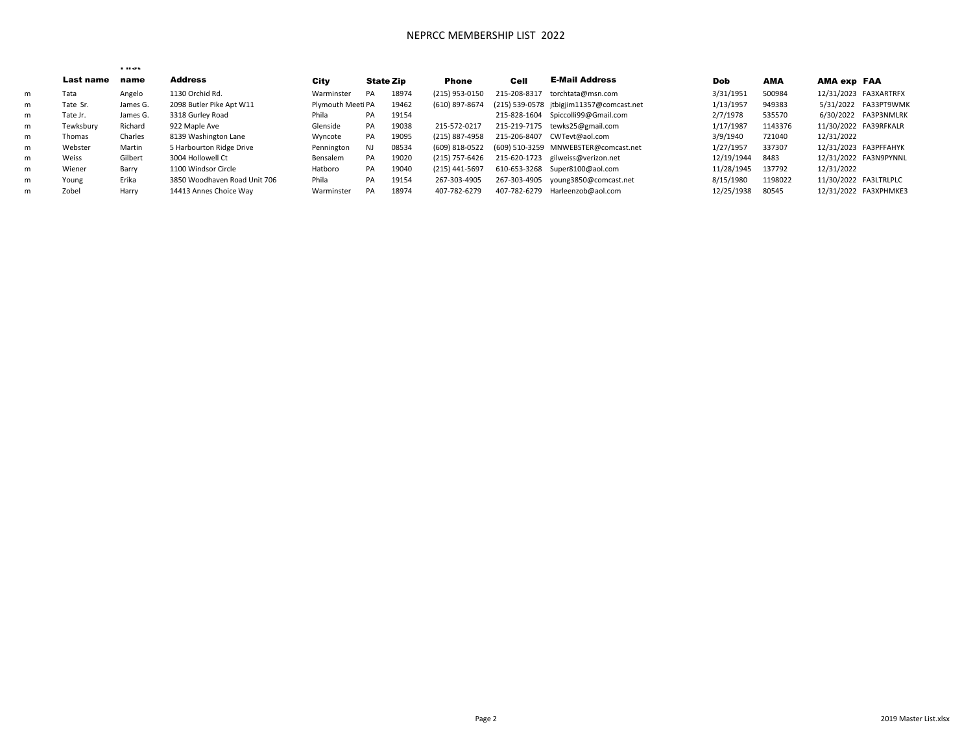## NEPRCC MEMBERSHIP LIST 2022

|   |           | <b>FILSL</b> |                              |                   |                  |       |                |              |                                          |            |            |                       |                       |
|---|-----------|--------------|------------------------------|-------------------|------------------|-------|----------------|--------------|------------------------------------------|------------|------------|-----------------------|-----------------------|
|   | Last name | name         | <b>Address</b>               | City              | <b>State Zip</b> |       | Phone          | Cell         | <b>E-Mail Address</b>                    | Dob        | <b>AMA</b> | AMA exp FAA           |                       |
| m | Tata      | Angelo       | 1130 Orchid Rd.              | Warminster        | PA               | 18974 | (215) 953-0150 | 215-208-8317 | torchtata@msn.com                        | 3/31/1951  | 500984     |                       | 12/31/2023 FA3XARTRFX |
| m | Tate Sr.  | James G.     | 2098 Butler Pike Apt W11     | Plymouth Meeti PA |                  | 19462 | (610) 897-8674 |              | (215) 539-0578 jtbigjim11357@comcast.net | 1/13/1957  | 949383     |                       | 5/31/2022 FA33PT9WMK  |
| m | Tate Jr.  | James G.     | 3318 Gurley Road             | Phila             | PA               | 19154 |                |              | 215-828-1604 Spiccolli99@Gmail.com       | 2/7/1978   | 535570     |                       | 6/30/2022 FA3P3NMLRK  |
| m | Tewksbury | Richard      | 922 Maple Ave                | Glenside          | PA               | 19038 | 215-572-0217   |              | 215-219-7175 tewks25@gmail.com           | 1/17/1987  | 1143376    |                       | 11/30/2022 FA39RFKALR |
| m | Thomas    | Charles      | 8139 Washington Lane         | Wyncote           | PA               | 19095 | (215) 887-4958 | 215-206-8407 | CWTevt@aol.com                           | 3/9/1940   | 721040     | 12/31/2022            |                       |
| m | Webster   | Martin       | 5 Harbourton Ridge Drive     | Pennington        | NJ               | 08534 | (609) 818-0522 |              | (609) 510-3259 MNWEBSTER@comcast.net     | 1/27/1957  | 337307     |                       | 12/31/2023 FA3PFFAHYK |
| m | Weiss     | Gilbert      | 3004 Hollowell Ct            | Bensalem          | PA               | 19020 | (215) 757-6426 |              | 215-620-1723 gilweiss@verizon.net        | 12/19/1944 | 8483       |                       | 12/31/2022 FA3N9PYNNL |
| m | Wiener    | Barry        | 1100 Windsor Circle          | Hatboro           | PA               | 19040 | (215) 441-5697 |              | 610-653-3268 Super8100@aol.com           | 11/28/1945 | 137792     | 12/31/2022            |                       |
| m | Young     | Erika        | 3850 Woodhaven Road Unit 706 | Phila             | PA               | 19154 | 267-303-4905   |              | 267-303-4905 young3850@comcast.net       | 8/15/1980  | 1198022    | 11/30/2022 FA3LTRLPLC |                       |
| m | Zobel     | Harry        | 14413 Annes Choice Way       | Warminster        | PA               | 18974 | 407-782-6279   | 407-782-6279 | Harleenzob@aol.com                       | 12/25/1938 | 80545      |                       | 12/31/2022 FA3XPHMKE3 |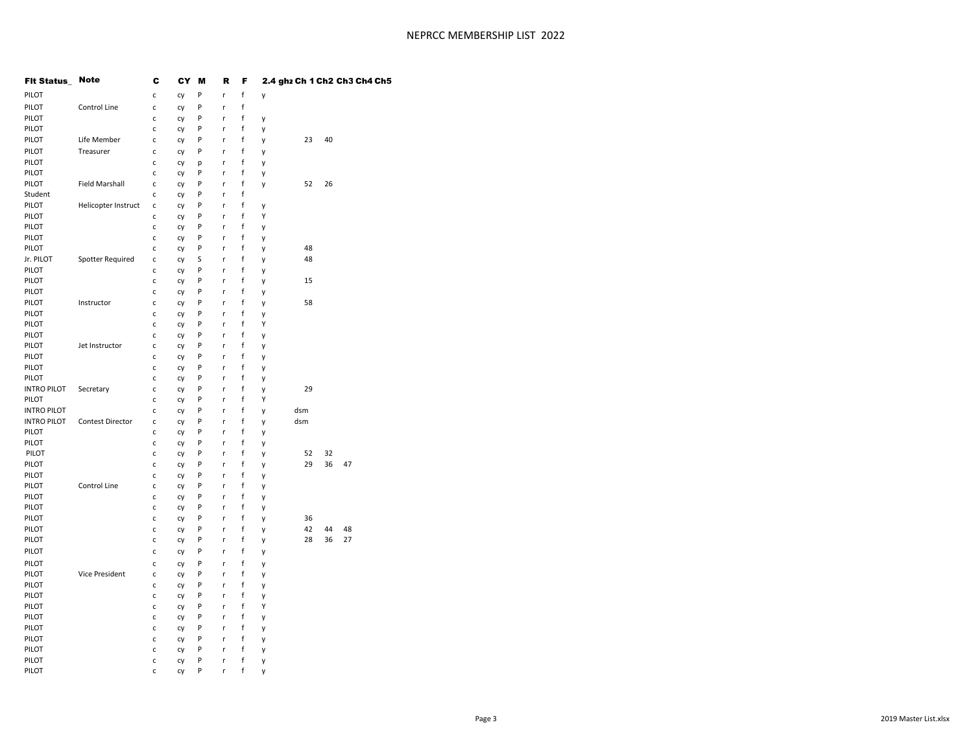| <b>Fit Status_ Note</b> |                       | c            | CY | M | R | F |   |     |    | 2.4 ghz Ch 1 Ch2 Ch3 Ch4 Ch5 |  |
|-------------------------|-----------------------|--------------|----|---|---|---|---|-----|----|------------------------------|--|
| PILOT                   |                       | c            | cy | P | r | f | y |     |    |                              |  |
| PILOT                   | Control Line          | c            | cy | P | r | f |   |     |    |                              |  |
| PILOT                   |                       | c            | cy | P | r | f | y |     |    |                              |  |
| PILOT                   |                       | c            | cy | P | r | f | y |     |    |                              |  |
| PILOT                   | Life Member           | c            | cy | P | r | f | у | 23  | 40 |                              |  |
| PILOT                   | Treasurer             | c            | Cy | P | r | f | y |     |    |                              |  |
| PILOT                   |                       | C            | cy | р | r | f | y |     |    |                              |  |
| PILOT                   |                       | c            | Cy | P | r | f | y |     |    |                              |  |
| PILOT                   | <b>Field Marshall</b> | c            | cy | P | r | f | y | 52  | 26 |                              |  |
| Student                 |                       | C            | cy | P | r | f |   |     |    |                              |  |
| PILOT                   | Helicopter Instruct   | c            | Cy | P | r | f | y |     |    |                              |  |
| PILOT                   |                       | c            | cy | P | r | f | Υ |     |    |                              |  |
| PILOT                   |                       | $\mathsf{C}$ | cy | P | r | f | y |     |    |                              |  |
| PILOT                   |                       | c            | Cy | P | r | f | y |     |    |                              |  |
| PILOT                   |                       | c            | cy | P | r | f | y | 48  |    |                              |  |
| Jr. PILOT               | Spotter Required      | c            | cy | S | r | f | y | 48  |    |                              |  |
| PILOT                   |                       | c            | Cy | P | r | f | y |     |    |                              |  |
| PILOT                   |                       | c            | cy | P | r | f | y | 15  |    |                              |  |
| PILOT                   |                       | c            | Cy | P | r | f | y |     |    |                              |  |
| PILOT                   | Instructor            | $\mathsf{C}$ | cy | P | r | f | y | 58  |    |                              |  |
| PILOT                   |                       | c            | cy | P | r | f | y |     |    |                              |  |
| PILOT                   |                       | c            | Cy | P | r | f | Υ |     |    |                              |  |
| PILOT                   |                       | $\mathsf{C}$ | cy | P | r | f | y |     |    |                              |  |
| PILOT                   | Jet Instructor        | c            | cy | P | r | f | y |     |    |                              |  |
| PILOT                   |                       | c            | Cy | P | r | f | y |     |    |                              |  |
| PILOT                   |                       | $\mathsf{C}$ | cy | P | r | f | y |     |    |                              |  |
| PILOT                   |                       | c            | cy | P | r | f | y |     |    |                              |  |
| <b>INTRO PILOT</b>      | Secretary             | c            | Cy | P | r | f | y | 29  |    |                              |  |
| PILOT                   |                       | c            | cy | P | r | f | Υ |     |    |                              |  |
| <b>INTRO PILOT</b>      |                       | c            | cy | P | r | f | y | dsm |    |                              |  |
| <b>INTRO PILOT</b>      | Contest Director      | c            | Cy | P | r | f | y | dsm |    |                              |  |
| PILOT                   |                       | c            | cy | P | r | f | y |     |    |                              |  |
| PILOT                   |                       | c            | cy | P | r | f | y |     |    |                              |  |
| PILOT                   |                       | c            | Cy | P | r | f | y | 52  | 32 |                              |  |
| PILOT                   |                       | $\mathsf{C}$ | cy | P | r | f | y | 29  | 36 | 47                           |  |
| PILOT                   |                       | c            | cy | P | r | f | y |     |    |                              |  |
| PILOT                   | Control Line          | c            | Cy | P | r | f | y |     |    |                              |  |
| PILOT                   |                       | $\mathsf{C}$ | cy | P | r | f | y |     |    |                              |  |
| PILOT                   |                       | c            | cy | P | r | f | y |     |    |                              |  |
| PILOT                   |                       | C            | Cy | P | r | f | y | 36  |    |                              |  |
| PILOT                   |                       | $\mathsf{c}$ | cy | P | r | f | y | 42  | 44 | 48                           |  |
| PILOT                   |                       | c            | cy | P | r | f | y | 28  | 36 | 27                           |  |
| PILOT                   |                       | c            | cy | P | r | f | y |     |    |                              |  |
| PILOT                   |                       | c            | Cy | P | r | f | у |     |    |                              |  |
| PILOT                   | Vice President        | C            | Cy | P | r | f | y |     |    |                              |  |
| PILOT                   |                       | $\mathsf{C}$ | Cy | P | r | f | y |     |    |                              |  |
| PILOT                   |                       | c            | cy | P | r | f | у |     |    |                              |  |
| PILOT                   |                       | c            | Cy | P | r | f | Υ |     |    |                              |  |
| PILOT                   |                       | $\mathsf{C}$ | cy | P | r | f | y |     |    |                              |  |
| PILOT                   |                       | $\mathsf{C}$ | cy | P | r | f | y |     |    |                              |  |
| PILOT                   |                       | c            | Cy | P | r | f | y |     |    |                              |  |
| PILOT                   |                       | $\mathsf{C}$ | cy | P | r | f | y |     |    |                              |  |
| PILOT                   |                       | $\mathsf{c}$ | cy | P | r | f | y |     |    |                              |  |
| PILOT                   |                       | c            | Cy | P | r | f | y |     |    |                              |  |
|                         |                       |              |    |   |   |   |   |     |    |                              |  |